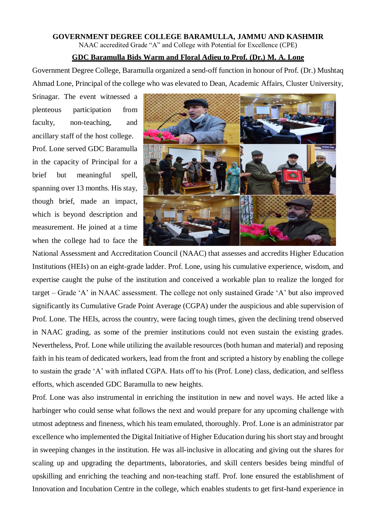## **GOVERNMENT DEGREE COLLEGE BARAMULLA, JAMMU AND KASHMIR**

NAAC accredited Grade "A" and College with Potential for Excellence (CPE)

## **GDC Baramulla Bids Warm and Floral Adieu to Prof. (Dr.) M. A. Lone**

Government Degree College, Baramulla organized a send-off function in honour of Prof. (Dr.) Mushtaq Ahmad Lone, Principal of the college who was elevated to Dean, Academic Affairs, Cluster University,

Srinagar. The event witnessed a plenteous participation from faculty, non-teaching, and ancillary staff of the host college. Prof. Lone served GDC Baramulla in the capacity of Principal for a brief but meaningful spell, spanning over 13 months. His stay, though brief, made an impact, which is beyond description and measurement. He joined at a time when the college had to face the



National Assessment and Accreditation Council (NAAC) that assesses and accredits Higher Education Institutions (HEIs) on an eight-grade ladder. Prof. Lone, using his cumulative experience, wisdom, and expertise caught the pulse of the institution and conceived a workable plan to realize the longed for target – Grade 'A' in NAAC assessment. The college not only sustained Grade 'A' but also improved significantly its Cumulative Grade Point Average (CGPA) under the auspicious and able supervision of Prof. Lone. The HEIs, across the country, were facing tough times, given the declining trend observed in NAAC grading, as some of the premier institutions could not even sustain the existing grades. Nevertheless, Prof. Lone while utilizing the available resources (both human and material) and reposing faith in his team of dedicated workers, lead from the front and scripted a history by enabling the college to sustain the grade 'A' with inflated CGPA. Hats off to his (Prof. Lone) class, dedication, and selfless efforts, which ascended GDC Baramulla to new heights.

Prof. Lone was also instrumental in enriching the institution in new and novel ways. He acted like a harbinger who could sense what follows the next and would prepare for any upcoming challenge with utmost adeptness and fineness, which his team emulated, thoroughly. Prof. Lone is an administrator par excellence who implemented the Digital Initiative of Higher Education during his short stay and brought in sweeping changes in the institution. He was all-inclusive in allocating and giving out the shares for scaling up and upgrading the departments, laboratories, and skill centers besides being mindful of upskilling and enriching the teaching and non-teaching staff. Prof. lone ensured the establishment of Innovation and Incubation Centre in the college, which enables students to get first-hand experience in